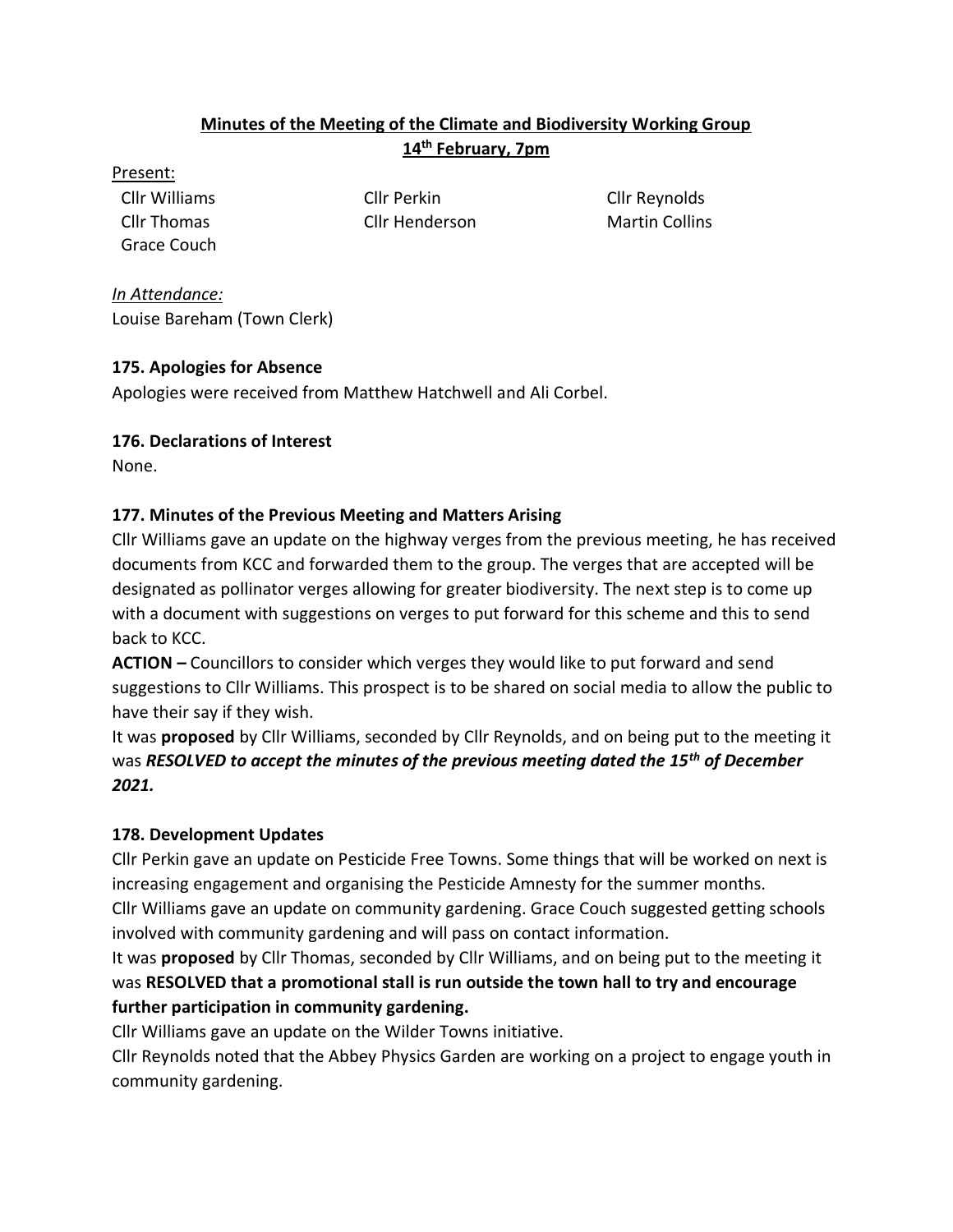## **Minutes of the Meeting of the Climate and Biodiversity Working Group 14th February, 7pm**

Present:

Grace Couch

Cllr Thomas Cllr Henderson Martin Collins

Cllr Williams Cllr Perkin Cllr Reynolds

*In Attendance:* Louise Bareham (Town Clerk)

### **175. Apologies for Absence**

Apologies were received from Matthew Hatchwell and Ali Corbel.

# **176. Declarations of Interest**

None.

# **177. Minutes of the Previous Meeting and Matters Arising**

Cllr Williams gave an update on the highway verges from the previous meeting, he has received documents from KCC and forwarded them to the group. The verges that are accepted will be designated as pollinator verges allowing for greater biodiversity. The next step is to come up with a document with suggestions on verges to put forward for this scheme and this to send back to KCC.

**ACTION –** Councillors to consider which verges they would like to put forward and send suggestions to Cllr Williams. This prospect is to be shared on social media to allow the public to have their say if they wish.

It was **proposed** by Cllr Williams, seconded by Cllr Reynolds, and on being put to the meeting it was *RESOLVED to accept the minutes of the previous meeting dated the 15th of December 2021.*

# **178. Development Updates**

Cllr Perkin gave an update on Pesticide Free Towns. Some things that will be worked on next is increasing engagement and organising the Pesticide Amnesty for the summer months. Cllr Williams gave an update on community gardening. Grace Couch suggested getting schools involved with community gardening and will pass on contact information.

It was **proposed** by Cllr Thomas, seconded by Cllr Williams, and on being put to the meeting it was **RESOLVED that a promotional stall is run outside the town hall to try and encourage further participation in community gardening.**

Cllr Williams gave an update on the Wilder Towns initiative.

Cllr Reynolds noted that the Abbey Physics Garden are working on a project to engage youth in community gardening.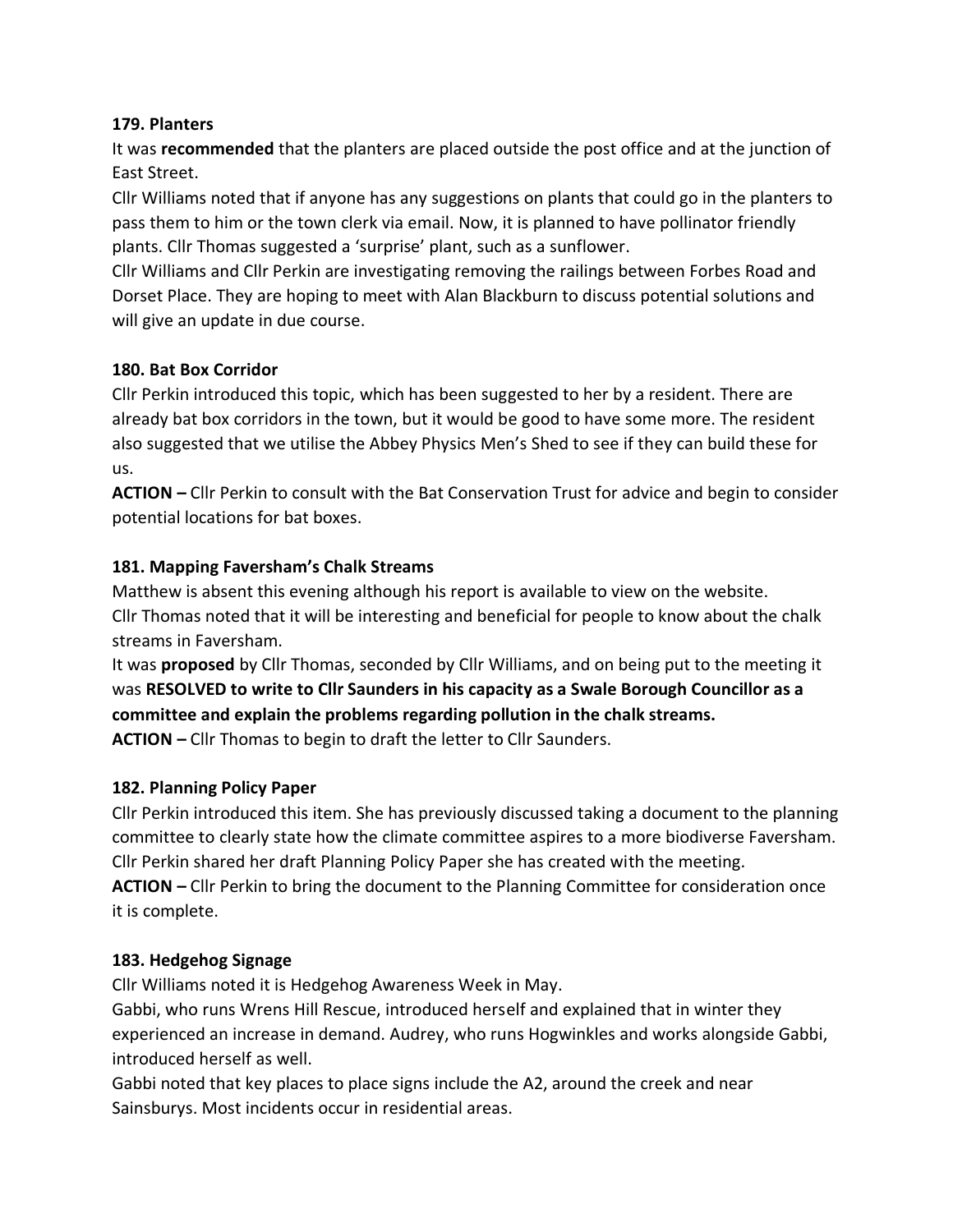#### **179. Planters**

It was **recommended** that the planters are placed outside the post office and at the junction of East Street.

Cllr Williams noted that if anyone has any suggestions on plants that could go in the planters to pass them to him or the town clerk via email. Now, it is planned to have pollinator friendly plants. Cllr Thomas suggested a 'surprise' plant, such as a sunflower.

Cllr Williams and Cllr Perkin are investigating removing the railings between Forbes Road and Dorset Place. They are hoping to meet with Alan Blackburn to discuss potential solutions and will give an update in due course.

#### **180. Bat Box Corridor**

Cllr Perkin introduced this topic, which has been suggested to her by a resident. There are already bat box corridors in the town, but it would be good to have some more. The resident also suggested that we utilise the Abbey Physics Men's Shed to see if they can build these for us.

**ACTION –** Cllr Perkin to consult with the Bat Conservation Trust for advice and begin to consider potential locations for bat boxes.

### **181. Mapping Faversham's Chalk Streams**

Matthew is absent this evening although his report is available to view on the website. Cllr Thomas noted that it will be interesting and beneficial for people to know about the chalk streams in Faversham.

It was **proposed** by Cllr Thomas, seconded by Cllr Williams, and on being put to the meeting it was **RESOLVED to write to Cllr Saunders in his capacity as a Swale Borough Councillor as a committee and explain the problems regarding pollution in the chalk streams. ACTION –** Cllr Thomas to begin to draft the letter to Cllr Saunders.

#### **182. Planning Policy Paper**

Cllr Perkin introduced this item. She has previously discussed taking a document to the planning committee to clearly state how the climate committee aspires to a more biodiverse Faversham. Cllr Perkin shared her draft Planning Policy Paper she has created with the meeting. **ACTION –** Cllr Perkin to bring the document to the Planning Committee for consideration once

it is complete.

### **183. Hedgehog Signage**

Cllr Williams noted it is Hedgehog Awareness Week in May.

Gabbi, who runs Wrens Hill Rescue, introduced herself and explained that in winter they experienced an increase in demand. Audrey, who runs Hogwinkles and works alongside Gabbi, introduced herself as well.

Gabbi noted that key places to place signs include the A2, around the creek and near Sainsburys. Most incidents occur in residential areas.